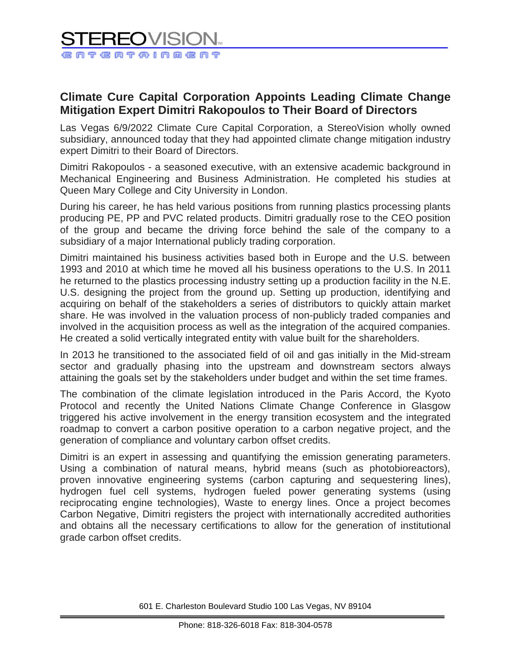## REOVISI enteateinment

## **Climate Cure Capital Corporation Appoints Leading Climate Change Mitigation Expert Dimitri Rakopoulos to Their Board of Directors**

Las Vegas 6/9/2022 Climate Cure Capital Corporation, a StereoVision wholly owned subsidiary, announced today that they had appointed climate change mitigation industry expert Dimitri to their Board of Directors.

Dimitri Rakopoulos - a seasoned executive, with an extensive academic background in Mechanical Engineering and Business Administration. He completed his studies at Queen Mary College and City University in London.

During his career, he has held various positions from running plastics processing plants producing PE, PP and PVC related products. Dimitri gradually rose to the CEO position of the group and became the driving force behind the sale of the company to a subsidiary of a major International publicly trading corporation.

Dimitri maintained his business activities based both in Europe and the U.S. between 1993 and 2010 at which time he moved all his business operations to the U.S. In 2011 he returned to the plastics processing industry setting up a production facility in the N.E. U.S. designing the project from the ground up. Setting up production, identifying and acquiring on behalf of the stakeholders a series of distributors to quickly attain market share. He was involved in the valuation process of non-publicly traded companies and involved in the acquisition process as well as the integration of the acquired companies. He created a solid vertically integrated entity with value built for the shareholders.

In 2013 he transitioned to the associated field of oil and gas initially in the Mid-stream sector and gradually phasing into the upstream and downstream sectors always attaining the goals set by the stakeholders under budget and within the set time frames.

The combination of the climate legislation introduced in the Paris Accord, the Kyoto Protocol and recently the United Nations Climate Change Conference in Glasgow triggered his active involvement in the energy transition ecosystem and the integrated roadmap to convert a carbon positive operation to a carbon negative project, and the generation of compliance and voluntary carbon offset credits.

Dimitri is an expert in assessing and quantifying the emission generating parameters. Using a combination of natural means, hybrid means (such as photobioreactors), proven innovative engineering systems (carbon capturing and sequestering lines), hydrogen fuel cell systems, hydrogen fueled power generating systems (using reciprocating engine technologies), Waste to energy lines. Once a project becomes Carbon Negative, Dimitri registers the project with internationally accredited authorities and obtains all the necessary certifications to allow for the generation of institutional grade carbon offset credits.

601 E. Charleston Boulevard Studio 100 Las Vegas, NV 89104